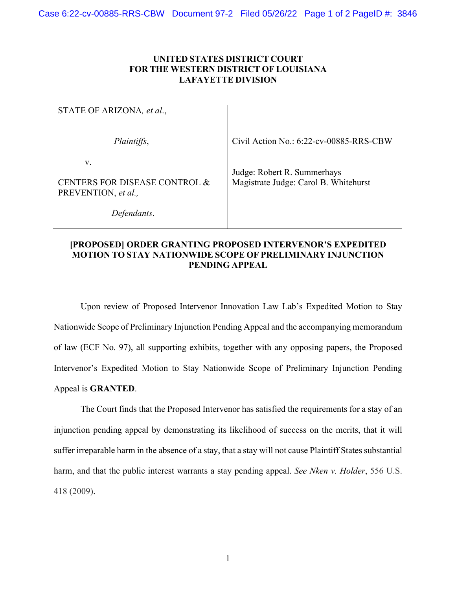## **UNITED STATES DISTRICT COURT FOR THE WESTERN DISTRICT OF LOUISIANA LAFAYETTE DIVISION**

| STATE OF ARIZONA, et al.,                                  |                                                                      |
|------------------------------------------------------------|----------------------------------------------------------------------|
| Plaintiffs,                                                | Civil Action No.: 6:22-cv-00885-RRS-CBW                              |
| V.<br>CENTERS FOR DISEASE CONTROL &<br>PREVENTION, et al., | Judge: Robert R. Summerhays<br>Magistrate Judge: Carol B. Whitehurst |
| Defendants.                                                |                                                                      |

## **[PROPOSED] ORDER GRANTING PROPOSED INTERVENOR'S EXPEDITED MOTION TO STAY NATIONWIDE SCOPE OF PRELIMINARY INJUNCTION PENDING APPEAL**

Upon review of Proposed Intervenor Innovation Law Lab's Expedited Motion to Stay Nationwide Scope of Preliminary Injunction Pending Appeal and the accompanying memorandum of law (ECF No. 97), all supporting exhibits, together with any opposing papers, the Proposed Intervenor's Expedited Motion to Stay Nationwide Scope of Preliminary Injunction Pending Appeal is **GRANTED**.

The Court finds that the Proposed Intervenor has satisfied the requirements for a stay of an injunction pending appeal by demonstrating its likelihood of success on the merits, that it will suffer irreparable harm in the absence of a stay, that a stay will not cause Plaintiff States substantial harm, and that the public interest warrants a stay pending appeal. *See Nken v. Holder*, 556 U.S. 418 (2009).